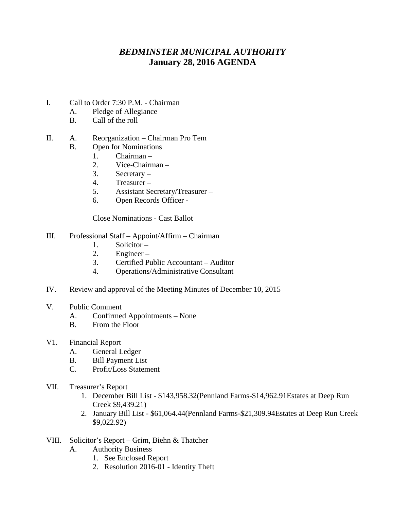## *BEDMINSTER MUNICIPAL AUTHORITY* **January 28, 2016 AGENDA**

- I. Call to Order 7:30 P.M. Chairman
	- A. Pledge of Allegiance
	- B. Call of the roll

## II. A. Reorganization – Chairman Pro Tem

- B. Open for Nominations
	- 1. Chairman –
	- 2. Vice-Chairman –
	- 3. Secretary –
	- 4. Treasurer –
	- 5. Assistant Secretary/Treasurer –
	- 6. Open Records Officer -

Close Nominations - Cast Ballot

## III. Professional Staff – Appoint/Affirm – Chairman

- 1. Solicitor –
- 2. Engineer –
- 3. Certified Public Accountant Auditor
- 4. Operations/Administrative Consultant
- IV. Review and approval of the Meeting Minutes of December 10, 2015
- V. Public Comment
	- A. Confirmed Appointments None
	- B. From the Floor
- V1. Financial Report
	- A. General Ledger
	- B. Bill Payment List
	- C. Profit/Loss Statement
- VII. Treasurer's Report
	- 1. December Bill List \$143,958.32(Pennland Farms-\$14,962.91Estates at Deep Run Creek \$9,439.21)
	- 2. January Bill List \$61,064.44(Pennland Farms-\$21,309.94Estates at Deep Run Creek \$9,022.92)
- VIII. Solicitor's Report Grim, Biehn & Thatcher
	- A. Authority Business
		- 1. See Enclosed Report
		- 2. Resolution 2016-01 Identity Theft